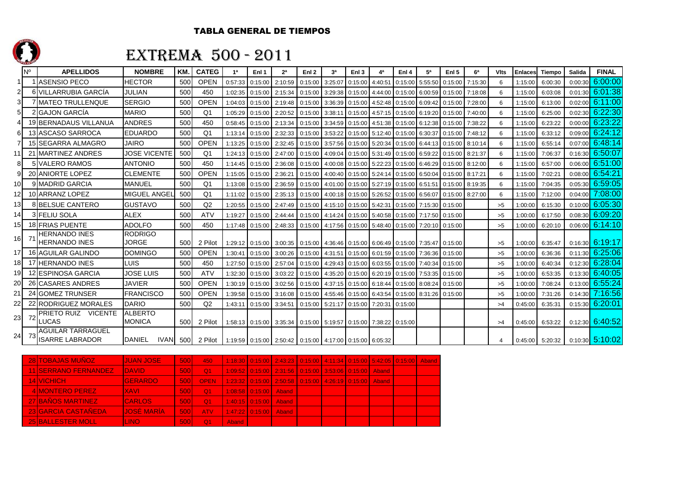

### EXTREMA 500 - 2011

|    | <b>N°</b>      | <b>APELLIDOS</b>                                   | <b>NOMBRE</b>                   | <b>KM</b> | <b>CATEG</b>   | 1 <sup>a</sup> | Enl 1   | 2 <sup>a</sup>          | Enl <sub>2</sub>                                                | 3а                                      | Enl <sub>3</sub> | 4ª      | Enl 4   | 5а      | Enl <sub>5</sub> | 6 <sup>a</sup> | <b>VIts</b> | <b>Enlaces</b> | <b>Tiempo</b> | Salida  | <b>FINAL</b> |
|----|----------------|----------------------------------------------------|---------------------------------|-----------|----------------|----------------|---------|-------------------------|-----------------------------------------------------------------|-----------------------------------------|------------------|---------|---------|---------|------------------|----------------|-------------|----------------|---------------|---------|--------------|
| 1  |                | <b>ASENSIO PECO</b>                                | <b>HECTOR</b>                   | 500       | <b>OPEN</b>    | 0:57:33        | 0:15:00 | 2:10:59                 | 0:15:00                                                         | 3:25:07                                 | 0:15:00          | 4:40:51 | 0:15:00 | 5:55:50 | 0:15:00          | 7:15:30        | 6           | 1:15:00        | 6:00:30       | 0:00:30 | 6:00:00      |
| 2  |                | 6 VILLARRUBIA GARCÍA                               | JULIAN                          | 500       | 450            | 1:02:35        | 0:15:00 | 2:15:34                 | 0:15:00                                                         | 3:29:38                                 | 0:15:00          | 4:44:00 | 0:15:00 | 6:00:59 | 0:15:00          | 7:18:08        | 6           | 1:15:00        | 6:03:08       | 0:01:30 | 6:01:38      |
| 3  |                | 7 MATEO TRULLENQUE                                 | <b>SERGIO</b>                   | 500       | <b>OPEN</b>    | 1:04:03        | 0:15:00 | 2:19:48                 | 0:15:00                                                         | 3:36:39                                 | 0:15:00          | 4:52:48 | 0:15:00 | 6:09:42 | 0:15:00          | 7:28:00        | 6           | 1:15:00        | 6:13:00       | 0:02:00 | 6:11:00      |
| 5  |                | <b>GAJON GARCÍA</b>                                | <b>MARIO</b>                    | 500       | Q <sub>1</sub> | 1:05:29        | 0:15:00 | 2:20:52                 | 0:15:00                                                         | 3:38:11                                 | 0:15:00          | 4:57:15 | 0:15:00 | 6:19:20 | 0:15:00          | 7:40:00        | 6           | 1:15:00        | 6:25:00       | 0:02:30 | 6:22:30      |
|    |                | 19 BERNADAUS VILLANUA                              | <b>ANDRES</b>                   | 500       | 450            | 0:58:45        | 0:15:00 | 2:13:34                 | 0:15:00                                                         | 3:34:59                                 | 0:15:00          | 4:51:38 | 0:15:00 | 6:12:38 | 0:15:00          | 7:38:22        | 6           | 1:15:00        | 6:23:22       | 0:00:00 | 6:23:22      |
| 6  | 13             | ASCASO SARROCA                                     | <b>EDUARDO</b>                  | 500       | Q <sub>1</sub> | 1:13:14        | 0:15:00 | 2:32:33                 | 0:15:00                                                         | 3:53:22                                 | 0:15:00          | 5:12:40 | 0:15:00 | 6:30:37 | 0:15:00          | 7:48:12        | 6           | 1:15:00        | 6:33:12       | 0:09:00 | 6:24:12      |
|    |                | 15 SEGARRA ALMAGRO                                 | <b>JAIRO</b>                    | 500       | <b>OPEN</b>    | 1:13:25        | 0:15:00 | 2:32:45                 | 0:15:00                                                         | 3:57:56 0:15:00                         |                  | 5:20:34 | 0:15:00 | 6:44:13 | 0:15:00          | 8:10:14        | 6           | 1:15:00        | 6:55:14       | 0:07:00 | 6:48:14      |
| 11 |                | 21 MARTINEZ ANDRES                                 | <b>JOSE VICENTE</b>             | 500       | O <sub>1</sub> | 1:24:13        | 0:15:00 | 2:47:00                 | 0:15:00                                                         | 4:09:04                                 | 0:15:00          | 5:31:49 | 0:15:00 | 6:59:22 | 0:15:00          | 8:21:37        | 6           | 1:15:00        | 7:06:37       | 0:16:30 | 6:50:07      |
| 8  |                | <b>5 VALERO RAMOS</b>                              | <b>ANTONIO</b>                  | 500       | 450            | 1:14:45        | 0:15:00 | 2:36:08                 | 0:15:00                                                         | 4:00:08                                 | 0:15:00          | 5:22:23 | 0:15:00 | 6:46:29 | 0:15:00          | 8:12:00        | 6           | 1:15:00        | 6:57:00       | 0:06:00 | 6:51:00      |
| 9  |                | <b>20 ANIORTE LOPEZ</b>                            | <b>CLEMENTE</b>                 | 500       | <b>OPEN</b>    | 1:15:05        | 0:15:00 | 2:36:21                 | 0:15:00                                                         | 4:00:40                                 | 0:15:00          | 5:24:14 | 0:15:00 | 6:50:04 | 0:15:00          | 8:17:21        | 6           | 1:15:00        | 7:02:21       | 0:08:00 | 6:54:21      |
| 10 |                | 9 MADRID GARCIA                                    | MANUEL                          | 500       | Q <sub>1</sub> | 1:13:08        | 0:15:00 | 2:36:59                 | 0:15:00                                                         | 4:01:00                                 | 0:15:00          | 5:27:19 | 0:15:00 | 6:51:51 | 0:15:00          | 8:19:35        | 6           | 1:15:00        | 7:04:35       | 0:05:30 | 6:59:05      |
| 12 |                | 10 ARRANZ LOPEZ                                    | MIGUEL ANGE                     | 500       | Q <sub>1</sub> | 1:11:02        | 0:15:00 | 2:35:13                 | 0:15:00                                                         | 4:00:18                                 | 0:15:00          | 5:26:52 | 0:15:00 | 6:56:07 | 0:15:00          | 8:27:00        | 6           | 1:15:00        | 7:12:00       | 0:04:00 | 7:08:00      |
| 13 |                | <b>BELSUE CANTERO</b>                              | <b>GUSTAVO</b>                  | 500       | Q2             | 1:20:55        | 0:15:00 | 2:47:49                 | 0:15:00                                                         | 4:15:10 0:15:00                         |                  | 5:42:31 | 0:15:00 | 7:15:30 | 0:15:00          |                | >5          | 1:00:00        | 6:15:30       | 0:10:00 | 6:05:30      |
| 14 |                | <b>3 FELIU SOLA</b>                                | <b>ALEX</b>                     | 500       | <b>ATV</b>     | 1:19:27        | 0:15:00 | 2:44:44                 | 0:15:00                                                         | 4:14:24                                 | 0:15:00          | 5:40:58 | 0:15:00 | 7:17:50 | 0:15:00          |                | >5          | 1:00:00        | 6:17:50       | 0:08:30 | 6:09:20      |
| 15 |                | <b>18 FRIAS PUENTE</b>                             | <b>ADOLFO</b>                   | 500       | 450            | 1:17:48        | 0:15:00 | 2:48:33                 | 0:15:00                                                         | 4:17:56                                 | 0:15:00          | 5:48:40 | 0:15:00 | 7:20:10 | 0:15:00          |                | >5          | 1:00:00        | 6:20:10       | 0:06:00 | 6:14:10      |
| 16 | $\overline{7}$ | <b>HERNANDO INES</b><br><b>HERNANDO INES</b>       | <b>RODRIGO</b><br><b>JORGE</b>  | 500       | 2 Pilot        |                |         | 1:29:12 0:15:00 3:00:35 | 0:15:00                                                         | 4:36:46 0:15:00 6:06:49 0:15:00 7:35:47 |                  |         |         |         | 0:15:00          |                | >5          | 1:00:00        | 6:35:47       | 0:16:30 | 6:19:17      |
| 17 |                | 16 AGUILAR GALINDO                                 | <b>DOMINGO</b>                  | 500       | <b>OPEN</b>    | 1:30:41        | 0:15:00 | 3:00:26                 | 0:15:00                                                         | 4:31:51                                 | 0:15:00          | 6:01:59 | 0:15:00 | 7:36:36 | 0:15:00          |                | >5          | 1:00:00        | 6:36:36       | 0:11:30 | 6:25:06      |
| 18 |                | 17 HERNANDO INES                                   | LUIS                            | 500       | 450            | 1:27:50        | 0:15:00 | 2:57:04                 | 0:15:00                                                         | 4:29:43 0:15:00                         |                  | 6:03:55 | 0:15:00 | 7:40:34 | 0:15:00          |                | >5          | 1:00:00        | 6:40:34       | 0:12:30 | 6:28:04      |
| 19 |                | 12 ESPINOSA GARCIA                                 | <b>JOSE LUIS</b>                | 500       | <b>ATV</b>     | 1:32:30        | 0:15:00 | 3:03:22                 | 0:15:00                                                         | 4:35:20                                 | 0:15:00          | 6:20:19 | 0:15:00 | 7:53:35 | 0:15:00          |                | >5          | 1:00:00        | 6:53:35       | 0:13:30 | 6:40:05      |
| 20 |                | 26 CASARES ANDRES                                  | <b>JAVIER</b>                   | 500       | <b>OPEN</b>    | 1:30:19        | 0:15:00 | 3:02:56                 | 0:15:00                                                         | 4:37:15                                 | 0:15:00          | 6:18:44 | 0:15:00 | 8:08:24 | 0:15:00          |                | >5          | 1:00:00        | 7:08:24       | 0:13:00 | 6:55:24      |
| 21 | 24             | <b>GOMEZ TRUNSER</b>                               | <b>FRANCISCO</b>                | 500       | <b>OPEN</b>    | 1:39:58        | 0:15:00 | 3:16:08                 | 0:15:00                                                         | 4:55:46                                 | 0:15:00          | 6:43:54 | 0:15:00 | 8:31:26 | 0:15:00          |                | >5          | 1:00:00        | 7:31:26       | 0:14:30 | 7:16:56      |
| 22 |                | 22 RODRIGUEZ MORALES                               | <b>DARIO</b>                    | 500       | Q <sub>2</sub> | 1:43:11        | 0:15:00 | 3:34:51                 | 0:15:00                                                         | 5:21:17                                 | 0:15:00          | 7:20:31 | 0:15:00 |         |                  |                | >4          | 0:45:00        | 6:35:31       | 0:15:30 | 6:20:01      |
| 23 | -72            | PRIETO RUIZ VICENTE<br>LUCAS                       | <b>ALBERTO</b><br><b>MONICA</b> | 500       | 2 Pilot        |                |         |                         | 1:58:13 0:15:00 3:35:34 0:15:00 5:19:57 0:15:00 7:38:22 0:15:00 |                                         |                  |         |         |         |                  |                | >4          | 0:45:00        | 6:53:22       | 0:12:30 | 6:40:52      |
| 24 | - 73           | <b>AGUILAR TARRAGUEL</b><br><b>ISARRE LABRADOR</b> | <b>DANIEL</b><br><b>IVAN</b>    | 500       | 2 Pilot        |                |         |                         | 1:19:59 0:15:00 2:50:42 0:15:00 4:17:00 0:15:00 6:05:32         |                                         |                  |         |         |         |                  |                |             | 0:45:00        | 5:20:32       | 0:10:30 | 5:10:02      |

| <b>28 TOBAJAS MUÑOZ</b>      | <b>JUAN JOSE</b>   | <b>500</b>  | $-450$      |                           |                       | <u>  1:18:30   0:15:00   2:43:23   0:15:00   4:11:34   0:15:00   5:42:05   0:15:00   Aband </u> |  |  |  |
|------------------------------|--------------------|-------------|-------------|---------------------------|-----------------------|-------------------------------------------------------------------------------------------------|--|--|--|
| <b>411 SERRANO FERNANDEZ</b> | <b>IDAVID</b>      | <b>5001</b> | $\Omega$ 1  |                           |                       | 1:09:52 0:15:00 2:31:56 0:15:00 3:53:06 0:15:00 Aband                                           |  |  |  |
| <b>44 VICHICH</b>            | <b>GERARDO</b>     | <b>500</b>  | <b>OPEN</b> |                           |                       | 1:23:32 0:15:00 2:50:58 0:15:00 4:26:19 0:15:00 Aband                                           |  |  |  |
| 4 MONTERO PEREZ              | <b>XAVI</b>        | <b>500</b>  | $\Omega$ 1  |                           | 1:08:58 0:15:00 Aband |                                                                                                 |  |  |  |
| <b>27 BAÑOS MARTINEZ</b>     | <b>CARLOS</b>      | <b>500</b>  | $\Omega$ 1  | 1:40:15   0:15:00   Aband |                       |                                                                                                 |  |  |  |
| <b>23 GARCIA CASTAÑEDA</b>   | <b>LJOSÉ MARÍA</b> | 500L        | <b>ATV</b>  |                           | 1:47:22 0:15:00 Aband |                                                                                                 |  |  |  |
| <b>25 BALLESTER MOLL</b>     | <b>LINO</b>        | 500         | $\Omega$ 1  | <b>Aband</b>              |                       |                                                                                                 |  |  |  |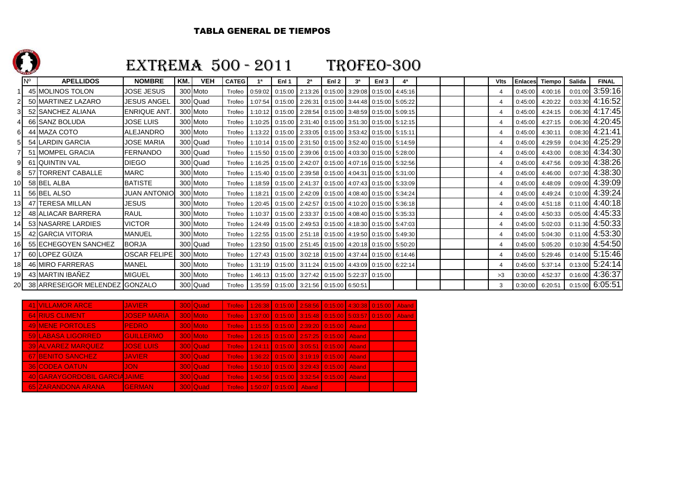

Nº

## EXTREMA 500 - 2011 TROFEO-300

#### **APELLIDOS NOMBRE KM. VEH CATEG 1ª Enl 1 2ª Enl 2 3ª Enl 3 4ª Vlts Enlaces Tiempo Salida FINAL** <sup>1</sup> 45 MOLINOS TOLON JOSE JESUS 300 Moto0 Trofeo 0:59:02 0:15:00 2:13:26 0:15:00 3:29:08 0:15:00 4:45:16 4 4:0:45 4 0:45:00 4:00:16 0:01:00 3:59:16 4:16:52 50 MARTINEZ LAZARO JJESUS ANGEL 300 Quad d Trofeo 1:07:54 0:15:00 2:26:31 0:15:00 3:44:48 0:15:00 5:05:22 4 4 4 0:45:00 4:20:22 0:03:30 4:16:52  $4.17 - 45$ 3 52 SANCHEZ ALIANA ENRIQUE ANT. 300 Moto0 Trofeo 1:10:12 0:15:00 2:28:54 0:15:00 3:48:59 0:15:00 5:09:15 4 0:45:00 4:24:15 0:06:30 4:17:45 4:20:45 66 SANZ BOLUDA JOSE LUIS 300 Moto Trofeo 1:10:25 0:15:00 2:31:40 0:15:00 3:51:30 0:15:00 5:12:15 <sup>4</sup> 0:45:00 4:27:15 0:06:30 4:20:45 $4:21:41$ 6 44 MAZA COTO ALEJANDRO 300 Moto 0 Trofeo 1:13:22 0:15:00 2:33:05 0:15:00 3:53:42 0:15:00 5:15:11 4 0:45:00 4:30:11 0:08:30 4:21:41  $4:25:29$ 54 LARDIN GARCIA JJOSE MARIA 300 Quad d Trofeo 1:10:14 0:15:00 2:31:50 0:15:00 3:52:40 0:15:00 5:14:59 4 4 0:45:00 4:29:59 0:04:30 4:25:29  $4:34:30$ 51 MOMPEL GRACIA FERNANDO 300 Quad d Trofeo 1:15:50 0:15:00 2:39:06 0:15:00 4:03:30 0:15:00 5:28:00 4:03:00 4 0:45:00 4:43:00 0:08:30 4:34:30 4:38:26 9 61 QUINTIN VAL DIEGO 1 300 Quad d Trofeo 1:16:25 0:15:00 2:42:07 0:15:00 4:07:16 0:15:00 5:32:56 4 4 4 0:45:00 4:47:56 0:09:30 4:38:26  $4:38:30$ 8 <sup>57</sup> TORRENT CABALLE MARC 300 Moto0 Trofeo 1:15:40 0:15:00 2:39:58 0:15:00 4:04:31 0:15:00 5:31:00 4:015:00 4 0:45:00 4:46:00 0:07:30 4:38:30 4:39:09 10 58 BEL ALBA BATISTE 300 Moto 0 Trofeo 1:18:59 0:15:00 2:41:37 0:15:00 4:07:43 0:15:00 5:33:09 4 4 0:45:00 4:48:09 0:09:00 4:39:09 4:39:24 11 56 BEL ALSO JUAN ANTONIO 300 Moto 0 Trofeo 1:18:21 0:15:00 2:42:09 0:15:00 4:08:40 0:15:00 5:34:24  $\boxed{0.45 \cdot 0.00 \cdot 0.000 \cdot 0.000 \cdot 0.000 \cdot 0.000 \cdot 0.000 \cdot 0.000 \cdot 0.000 \cdot 0.000 \cdot 0.000 \cdot 0.0000 \cdot 0.0000 \cdot 0.0000 \cdot 0.0000 \cdot 0.0000 \cdot 0.0000 \cdot 0.0000 \cdot 0.00$ 4:40:18 13 47 TERESA MILLAN JESUS | 300 Moto 0 Trofeo 1:20:45 0:15:00 2:42:57 0:15:00 4:10:20 0:15:00 5:36:18 4 4 0:45:00 4:51:18 0:11:00 4:40:18 4:45:33 12 48 ALIACAR BARRERA RAUL 300 Moto 0 Trofeo 1:10:37 0:15:00 2:33:37 0:15:00 4:08:40 0:15:00 5:35:33 4 4 0:45:00 4:50:33 0:05:00 4:45:33 4:50:33 <sup>14</sup> 53 NASARRE LARDIES VICTOR 300 Moto0 Trofeo 1:24:49 0:15:00 2:49:53 0:15:00 4:18:30 0:15:00 5:47:03 4 4 0:45:00 5:02:03 0:11:30 4:50:33 4:53:30 15 <sup>42</sup> GARCIA VITORIA MANUEL 300 Moto0 Trofeo 1:22:55 0:15:00 2:51:18 0:15:00 4:19:50 0:15:00 5:49:30 4:49:30 4 0:45:00 5:04:30 0:11:00 4:53:30 4:54:50 16 55 ECHEGOYEN SANCHEZ BORJA | 300 Quad d Trofeo 1:23:50 0:15:00 2:51:45 0:15:00 4:20:18 0:15:00 5:50:20 1 4 4 0:45:00 5:05:20 0:10:30 4:54:50 5:15:46 17 60 LOPEZ GÜIZA COSCAR FELIPE 300 Moto 0 Trofeo 1:27:43 0:15:00 3:02:18 0:15:00 4:37:44 0:15:00 6:14:46 4 4 0:15:00 4 0:45:00 5:29:46 0:14:00 5:15:46  $5:24:14$ 18 46 MIRO FARRERAS MANEL 300 Moto 0 Trofeo 1:31:19 0:15:00 3:11:24 0:15:00 4:43:09 0:15:00 6:22:14  $\qquad$  4 0:45:00 5:37:14 0:13:00 5:24:14 4:36:37 19 43 MARTIN IBAÑEZ MIGUEL 300 Moto Trofeo 1:46:13 0:15:00 3:27:42 0:15:00 5:22:37 0:15:00 >3 0:30:00 4:52:37 0:16:00 4:36:370:15:00 6:05:51 20 38 ARRESEIGOR MELENDEZ GONZALO 300 Quad d Trofeo 1:35:59 0:15:00 3:21:56 0:15:00 6:50:51 3 0:30:00 6:20:51 0:15:00 6:05:51

| <b>41 VILLAMOR ARCE</b>        | <b>JAVIER</b>      | 300 Quad |                        | Trofeo 1:26:38 0:15:00 2:58:56 0:15:00 4:30:38 0:15:00 Aband |       |       |  |
|--------------------------------|--------------------|----------|------------------------|--------------------------------------------------------------|-------|-------|--|
| <b>64 RIUS CLIMENT</b>         | <b>JOSEP MARIA</b> | 300 Moto |                        | Trofeo 1:37:00 0:15:00 3:15:48 0:15:00 5:03:57 0:15:00 Aband |       |       |  |
| <b>49 MENE PORTOLES</b>        | <b>PEDRO</b>       | 300 Moto |                        | Trofeo   1:15:55   0:15:00   2:39:20   0:15:00   Aband       |       |       |  |
| <b>59 LABASA LIGORRED</b>      | <b>GUILLERMO</b>   | 300 Moto |                        | Trofeo   1:26:15   0:15:00   2:57:25   0:15:00   Aband       |       |       |  |
| <b>39 ALVAREZ MARQUEZ</b>      | <b>JOSE LUIS</b>   | 300 Quad |                        | Trofeo   1:24:11   0:15:00   3:05:51   0:15:00   Aband       |       |       |  |
| 67 BENITO SANCHEZ              | <b>JAVIER</b>      | 300 Quad |                        | Trofeo 1:36:22 0:15:00 3:19:19 0:15:00                       |       | Aband |  |
| <b>36 CODEA OATUN</b>          | JON                | 300 Quad |                        | Trofeo 11:50:10 0:15:00 3:29:43 0:15:00                      |       | Aband |  |
| 40 GARAY GORDOBIL GARCIA JAIME |                    | 300 Quad |                        | Trofeo   1:40:56   0:15:00   3:32:54   0:15:00               |       | Aband |  |
| 65 ZARANDONA ARANA             | <b>GERMAN</b>      | 300 Quad | Trofeo 1:50:07 0:15:00 |                                                              | Aband |       |  |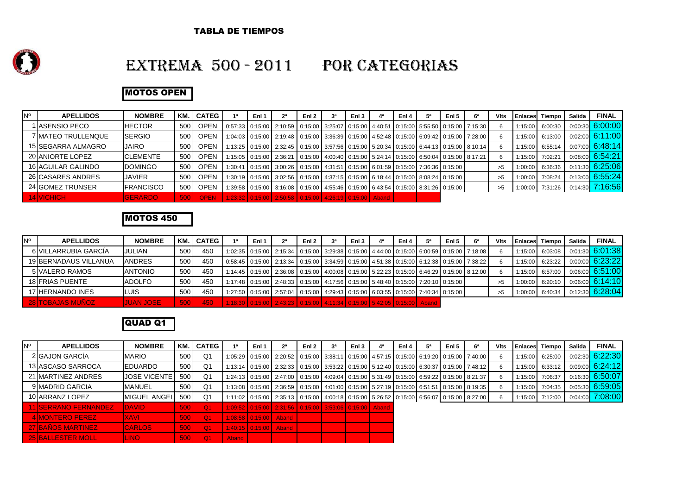

### EXTREMA 500 - 2011 POR CATEGORIAS

### MOTOS OPEN

| <b>N°</b> | <b>APELLIDOS</b>    | <b>NOMBRE</b>     | КM  | <b>CATEG</b> | <b>1a</b> | Enl 1 | 2 <sup>a</sup>                                                                                                | Enl <sub>2</sub> | за | Enl <sub>3</sub> | 4ª | Enl 4 | 5 <sup>a</sup> | Enl <sub>5</sub> | 6 <sup>a</sup> | Vits | <b>IEnlaces</b> | Tiempo          | Salida | <b>FINAL</b>      |
|-----------|---------------------|-------------------|-----|--------------|-----------|-------|---------------------------------------------------------------------------------------------------------------|------------------|----|------------------|----|-------|----------------|------------------|----------------|------|-----------------|-----------------|--------|-------------------|
|           | I IASENSIO PECO     | <b>HECTOR</b>     | 500 | <b>OPEN</b>  |           |       | 0:57:33   0:15:00   2:10:59   0:15:00   3:25:07   0:15:00   4:40:51   0:15:00   5:55:50   0:15:00   7:15:30   |                  |    |                  |    |       |                |                  |                |      | 1:15:00         | 6:00:30         |        | 0:00:30 6:00:00   |
|           | 7 IMATEO TRULLENQUE | <b>SERGIO</b>     | 500 | <b>OPEN</b>  |           |       | 1:04:03   0:15:00   2:19:48   0:15:00   3:36:39   0:15:00   4:52:48   0:15:00   6:09:42   0:15:00   7:28:00   |                  |    |                  |    |       |                |                  |                |      | 1:15:00 6:13:00 |                 |        | $0:02:00$ 6:11:00 |
|           | 15 SEGARRA ALMAGRO  | <b>JAIRO</b>      | 500 | <b>OPEN</b>  |           |       | $1:13:25$   0:15:00   2:32:45   0:15:00   3:57:56   0:15:00   5:20:34   0:15:00   6:44:13   0:15:00   8:10:14 |                  |    |                  |    |       |                |                  |                |      |                 | 1:15:00 6:55:14 |        | 0:07:00 6:48:14   |
|           | 20 ANIORTE LOPEZ    | <b>CLEMENTE</b>   | 500 | <b>OPEN</b>  |           |       | 1:15:05 0:15:00 2:36:21 0:15:00 4:00:40 0:15:00 5:24:14 0:15:00 6:50:04 0:15:00 8:17:21                       |                  |    |                  |    |       |                |                  |                |      | 1:15:00         | 7:02:21         |        | 0:08:00 6:54:21   |
|           | 16 AGUILAR GALINDO  | <b>DOMINGO</b>    | 500 | <b>OPEN</b>  |           |       | 1:30:41 0:15:00 3:00:26 0:15:00 4:31:51 0:15:00 6:01:59 0:15:00 7:36:36 0:15:00                               |                  |    |                  |    |       |                |                  |                | >5   | 1:00:00         | 6:36:36         |        | 0:11:30 6:25:06   |
|           | 26 CASARES ANDRES   | <b>JAVIER</b>     | 500 | <b>OPEN</b>  |           |       | 1:30:19 0:15:00 3:02:56 0:15:00 4:37:15 0:15:00 6:18:44 0:15:00 8:08:24 0:15:00                               |                  |    |                  |    |       |                |                  |                | >5   | 1:00:00         | 7:08:24         |        | 0:13:00 6:55:24   |
|           | 24 GOMEZ TRUNSER    | <b>IFRANCISCO</b> | 500 | <b>OPEN</b>  |           |       | 1:39:58   0:15:00   3:16:08   0:15:00   4:55:46   0:15:00   6:43:54   0:15:00   8:31:26   0:15:00             |                  |    |                  |    |       |                |                  |                | >5   | 1:00:00         | 7:31:26         |        | 0:14:30 7:16:56   |
|           | 14 VICHICH          | <b>GERARDO</b>    | 500 | <b>OPEN</b>  |           |       | 1:23:32 0:15:00 2:50:58 0:15:00 4:26:19 0:15:00 Aband                                                         |                  |    |                  |    |       |                |                  |                |      |                 |                 |        |                   |

#### MOTOS 450

| <b>N°</b> | <b>APELLIDOS</b>        | <b>NOMBRE</b>    | 'KM.       | <b>CATEG</b> | Enl 1 | 2 <sup>a</sup>                                                                                              | Enl <sub>2</sub> | за | Enl $31$ | 4ª | Enl 4 | <b>5ª</b> | Enl 5 | 6 <sup>a</sup> | <b>VIts</b> |         | <b>Enlaces</b> Tiempo | Salida | <b>FINAL</b>      |
|-----------|-------------------------|------------------|------------|--------------|-------|-------------------------------------------------------------------------------------------------------------|------------------|----|----------|----|-------|-----------|-------|----------------|-------------|---------|-----------------------|--------|-------------------|
|           | 6 VILLARRUBIA GARCÍA    | <b>JULIAN</b>    | 500        | 450          |       | 1:02:35 0:15:00 2:15:34 0:15:00 3:29:38 0:15:00 4:44:00 0:15:00 6:00:59 0:15:00 7:18:08                     |                  |    |          |    |       |           |       |                | 6           | 1:15:00 | 6:03:08               |        | 0:01:30 6:01:38   |
|           | 19 BERNADAUS VILLANUA   | <b>ANDRES</b>    | 500        | 450          |       | 0:58:45   0:15:00   2:13:34   0:15:00   3:34:59   0:15:00   4:51:38   0:15:00   6:12:38   0:15:00   7:38:22 |                  |    |          |    |       |           |       |                | -6          | 1:15:00 | 6:23:22               |        | 0:00:00 6:23:22   |
|           | 5 VALERO RAMOS          | <b>ANTONIO</b>   | 500        | 450          |       | 1:14:45   0:15:00   2:36:08   0:15:00   4:00:08   0:15:00   5:22:23   0:15:00   6:46:29   0:15:00   8:12:00 |                  |    |          |    |       |           |       |                | 6           |         | 1:15:00 6:57:00       |        | 0:06:00 6:51:00   |
|           | 18 FRIAS PUENTE         | <b>ADOLFO</b>    | 500        | 450          |       | 1:17:48   0:15:00   2:48:33   0:15:00   4:17:56   0:15:00   5:48:40   0:15:00   7:20:10   0:15:00           |                  |    |          |    |       |           |       |                | >5          |         | $1:00:00$ 6:20:10     |        | $0.06:00$ 6:14:10 |
|           | 17 HERNANDO INES        | ILUIS            | 500        | 450          |       | 1:27:50   0:15:00   2:57:04   0:15:00   4:29:43   0:15:00   6:03:55   0:15:00   7:40:34   0:15:00           |                  |    |          |    |       |           |       |                | >5          |         | 1:00:00 6:40:34       |        | 0:12:30 6:28:04   |
|           | <b>28 TOBAJAS MUNOZ</b> | <b>JUAN JOSE</b> | <b>500</b> | 450          |       | 1:18:30   0:15:00   2:43:23   0:15:00   4:11:34   0:15:00   5:42:05   0:15:00   Aband                       |                  |    |          |    |       |           |       |                |             |         |                       |        |                   |

### QUAD Q1

| $N^{\circ}$ | <b>APELLIDOS</b>            | <b>NOMBRE</b>       | KM.         | <b>CATEG</b>   |       | Enl 1                   | 2 <sup>a</sup>                                                                                              | Enl 2 | за | Enl <sub>3</sub> | 4ª | Enl 4 | Enl 5 | 6ª | <b>Vits</b> |         | Enlaces Tiempo    | Salida | <b>FINAL</b>    |
|-------------|-----------------------------|---------------------|-------------|----------------|-------|-------------------------|-------------------------------------------------------------------------------------------------------------|-------|----|------------------|----|-------|-------|----|-------------|---------|-------------------|--------|-----------------|
|             | 2 GAJON GARCIA              | <b>MARIO</b>        | 500         | Q1             |       |                         | 1:05:29   0:15:00   2:20:52   0:15:00   3:38:11   0:15:00   4:57:15   0:15:00   6:19:20   0:15:00   7:40:00 |       |    |                  |    |       |       |    |             |         | 1:15:00 6:25:00   |        | 0:02:30 6:22:30 |
|             | 13 ASCASO SARROCA           | <b>EDUARDO</b>      | 500         | Q1             |       |                         | 1:13:14   0:15:00   2:32:33   0:15:00   3:53:22   0:15:00   5:12:40   0:15:00   6:30:37   0:15:00   7:48:12 |       |    |                  |    |       |       |    |             |         | $1:15:00$ 6:33:12 |        | 0:09:00 6:24:12 |
|             | 21 MARTINEZ ANDRES          | <b>JOSE VICENTE</b> | 500         | Q1             |       |                         | 1:24:13 0:15:00 2:47:00 0:15:00 4:09:04 0:15:00 5:31:49 0:15:00 6:59:22 0:15:00 8:21:37                     |       |    |                  |    |       |       |    |             | 1:15:00 | 7:06:37           |        | 0:16:30 6:50:07 |
|             | 9 MADRID GARCIA             | <b>MANUEL</b>       | 500         | Q1             |       |                         | 1:13:08 0:15:00 2:36:59 0:15:00 4:01:00 0:15:00 5:27:19 0:15:00 6:51:51 0:15:00 8:19:35                     |       |    |                  |    |       |       |    |             | 1:15:00 | 7:04:35           |        | 0:05:30 6:59:05 |
|             | 10 ARRANZ LOPEZ             | <b>MIGUEL ANGEL</b> | 500         | Q1             |       |                         | 1:11:02 0:15:00 2:35:13 0:15:00 4:00:18 0:15:00 5:26:52 0:15:00 6:56:07 0:15:00 8:27:00                     |       |    |                  |    |       |       |    |             |         | 1:15:00 7:12:00   |        | 0:04:00 7:08:00 |
|             | <b>11 SERRANO FERNANDEZ</b> | <b>DAVID</b>        | 500         | $\Omega$ 1     |       |                         | 1:09:52 0:15:00 2:31:56 0:15:00 3:53:06 0:15:00 Aband                                                       |       |    |                  |    |       |       |    |             |         |                   |        |                 |
|             | <b>IMONTERO PEREZ</b>       | <b>XAVI</b>         | 500         | $\Omega$ 1     |       | $1:08:58$ 0:15:00 Aband |                                                                                                             |       |    |                  |    |       |       |    |             |         |                   |        |                 |
|             | <b>27 BAÑOS MARTINEZ</b>    | <b>CARLOS</b>       | 500         | $\Omega$ 1     |       |                         | 1:40:15 0:15:00 Aband                                                                                       |       |    |                  |    |       |       |    |             |         |                   |        |                 |
|             | <b>25 BALLESTER MOLL</b>    | LINO-               | <b>5001</b> | Q <sub>1</sub> | Aband |                         |                                                                                                             |       |    |                  |    |       |       |    |             |         |                   |        |                 |